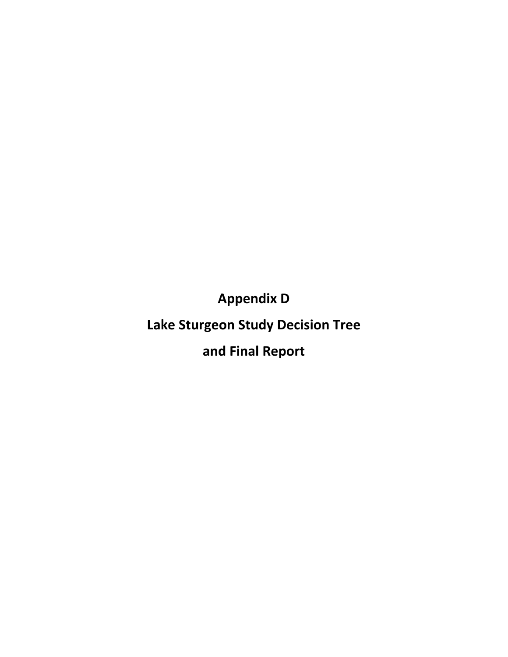**Appendix D**

# **Lake Sturgeon Study Decision Tree**

**and Final Report**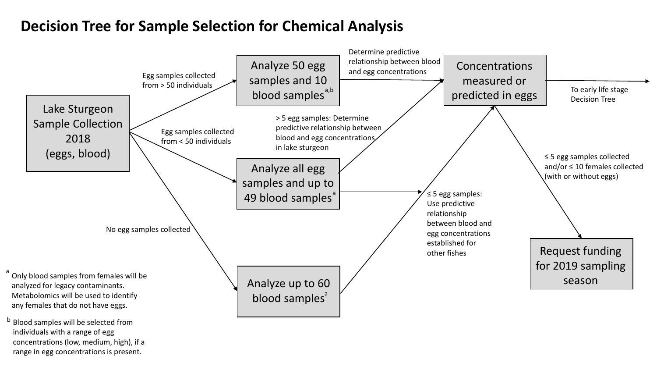### **Decision Tree for Sample Selection for Chemical Analysis**



b Blood samples will be selected from individuals with a range of egg concentrations (low, medium, high), if a range in egg concentrations is present.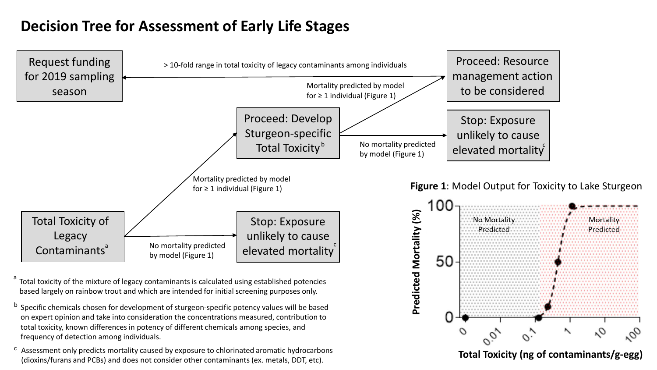## **Decision Tree for Assessment of Early Life Stages**



total toxicity, known differences in potency of different chemicals among species, and frequency of detection among individuals.

 $\epsilon$  Assessment only predicts mortality caused by exposure to chlorinated aromatic hydrocarbons (dioxins/furans and PCBs) and does not consider other contaminants (ex. metals, DDT, etc).

**Total Toxicity (ng of contaminants/g-egg)**

U.

ο,

 $\sigma_{o}$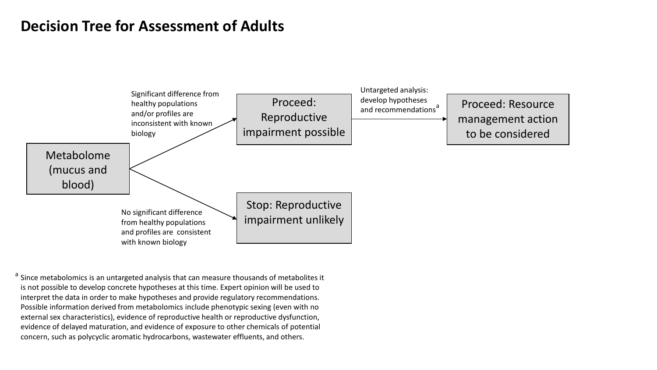### **Decision Tree for Assessment of Adults**



<sup>a</sup> Since metabolomics is an untargeted analysis that can measure thousands of metabolites it is not possible to develop concrete hypotheses at this time. Expert opinion will be used to interpret the data in order to make hypotheses and provide regulatory recommendations. Possible information derived from metabolomics include phenotypic sexing (even with no external sex characteristics), evidence of reproductive health or reproductive dysfunction, evidence of delayed maturation, and evidence of exposure to other chemicals of potential concern, such as polycyclic aromatic hydrocarbons, wastewater effluents, and others.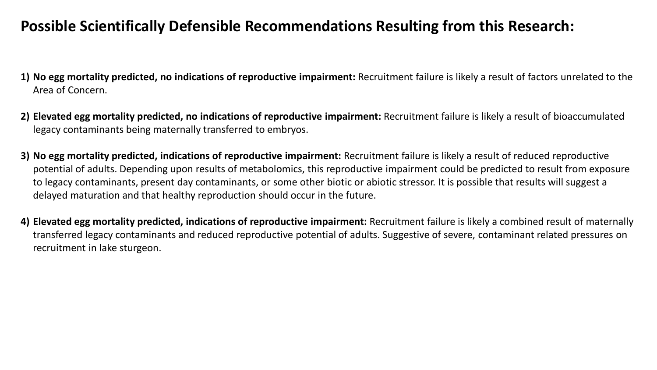### **Possible Scientifically Defensible Recommendations Resulting from this Research:**

- **1) No egg mortality predicted, no indications of reproductive impairment:** Recruitment failure is likely a result of factors unrelated to the Area of Concern.
- **2) Elevated egg mortality predicted, no indications of reproductive impairment:** Recruitment failure is likely a result of bioaccumulated legacy contaminants being maternally transferred to embryos.
- **3) No egg mortality predicted, indications of reproductive impairment:** Recruitment failure is likely a result of reduced reproductive potential of adults. Depending upon results of metabolomics, this reproductive impairment could be predicted to result from exposure to legacy contaminants, present day contaminants, or some other biotic or abiotic stressor. It is possible that results will suggest a delayed maturation and that healthy reproduction should occur in the future.
- **4) Elevated egg mortality predicted, indications of reproductive impairment:** Recruitment failure is likely a combined result of maternally transferred legacy contaminants and reduced reproductive potential of adults. Suggestive of severe, contaminant related pressures on recruitment in lake sturgeon.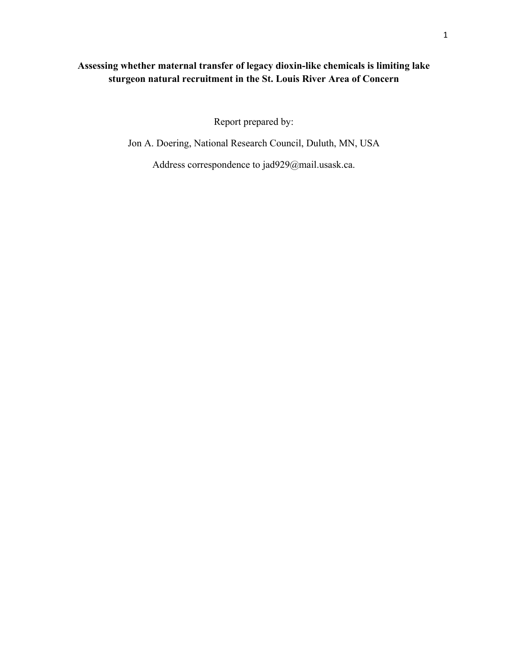### **Assessing whether maternal transfer of legacy dioxin-like chemicals is limiting lake sturgeon natural recruitment in the St. Louis River Area of Concern**

Report prepared by:

Jon A. Doering, National Research Council, Duluth, MN, USA

Address correspondence to [jad929@mail.usask.ca.](mailto:jad929@mail.usask.ca)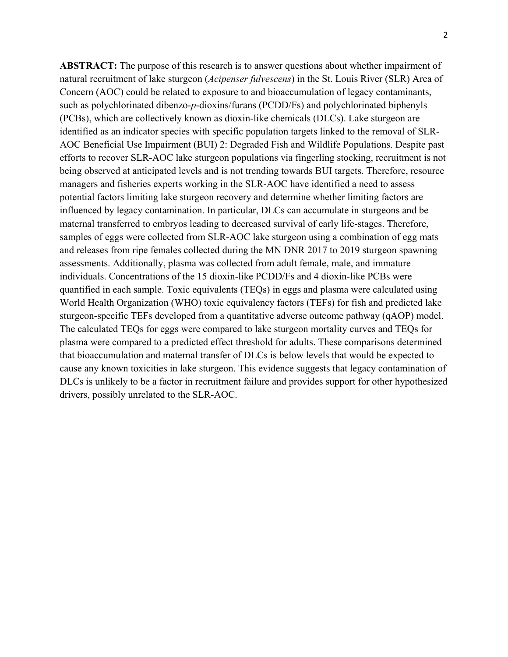**ABSTRACT:** The purpose of this research is to answer questions about whether impairment of natural recruitment of lake sturgeon (*Acipenser fulvescens*) in the St. Louis River (SLR) Area of Concern (AOC) could be related to exposure to and bioaccumulation of legacy contaminants, such as polychlorinated dibenzo-*p*-dioxins/furans (PCDD/Fs) and polychlorinated biphenyls (PCBs), which are collectively known as dioxin-like chemicals (DLCs). Lake sturgeon are identified as an indicator species with specific population targets linked to the removal of SLR-AOC Beneficial Use Impairment (BUI) 2: Degraded Fish and Wildlife Populations. Despite past efforts to recover SLR-AOC lake sturgeon populations via fingerling stocking, recruitment is not being observed at anticipated levels and is not trending towards BUI targets. Therefore, resource managers and fisheries experts working in the SLR-AOC have identified a need to assess potential factors limiting lake sturgeon recovery and determine whether limiting factors are influenced by legacy contamination. In particular, DLCs can accumulate in sturgeons and be maternal transferred to embryos leading to decreased survival of early life-stages. Therefore, samples of eggs were collected from SLR-AOC lake sturgeon using a combination of egg mats and releases from ripe females collected during the MN DNR 2017 to 2019 sturgeon spawning assessments. Additionally, plasma was collected from adult female, male, and immature individuals. Concentrations of the 15 dioxin-like PCDD/Fs and 4 dioxin-like PCBs were quantified in each sample. Toxic equivalents (TEQs) in eggs and plasma were calculated using World Health Organization (WHO) toxic equivalency factors (TEFs) for fish and predicted lake sturgeon-specific TEFs developed from a quantitative adverse outcome pathway (qAOP) model. The calculated TEQs for eggs were compared to lake sturgeon mortality curves and TEQs for plasma were compared to a predicted effect threshold for adults. These comparisons determined that bioaccumulation and maternal transfer of DLCs is below levels that would be expected to cause any known toxicities in lake sturgeon. This evidence suggests that legacy contamination of DLCs is unlikely to be a factor in recruitment failure and provides support for other hypothesized drivers, possibly unrelated to the SLR-AOC.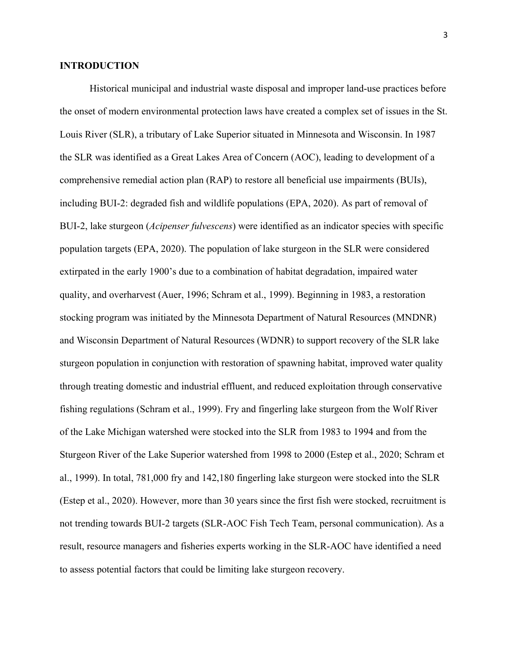#### **INTRODUCTION**

Historical municipal and industrial waste disposal and improper land-use practices before the onset of modern environmental protection laws have created a complex set of issues in the St. Louis River (SLR), a tributary of Lake Superior situated in Minnesota and Wisconsin. In 1987 the SLR was identified as a Great Lakes Area of Concern (AOC), leading to development of a comprehensive remedial action plan (RAP) to restore all beneficial use impairments (BUIs), including BUI-2: degraded fish and wildlife populations (EPA, 2020). As part of removal of BUI-2, lake sturgeon (*Acipenser fulvescens*) were identified as an indicator species with specific population targets (EPA, 2020). The population of lake sturgeon in the SLR were considered extirpated in the early 1900's due to a combination of habitat degradation, impaired water quality, and overharvest (Auer, 1996; Schram et al., 1999). Beginning in 1983, a restoration stocking program was initiated by the Minnesota Department of Natural Resources (MNDNR) and Wisconsin Department of Natural Resources (WDNR) to support recovery of the SLR lake sturgeon population in conjunction with restoration of spawning habitat, improved water quality through treating domestic and industrial effluent, and reduced exploitation through conservative fishing regulations (Schram et al., 1999). Fry and fingerling lake sturgeon from the Wolf River of the Lake Michigan watershed were stocked into the SLR from 1983 to 1994 and from the Sturgeon River of the Lake Superior watershed from 1998 to 2000 (Estep et al., 2020; Schram et al., 1999). In total, 781,000 fry and 142,180 fingerling lake sturgeon were stocked into the SLR (Estep et al., 2020). However, more than 30 years since the first fish were stocked, recruitment is not trending towards BUI-2 targets (SLR-AOC Fish Tech Team, personal communication). As a result, resource managers and fisheries experts working in the SLR-AOC have identified a need to assess potential factors that could be limiting lake sturgeon recovery.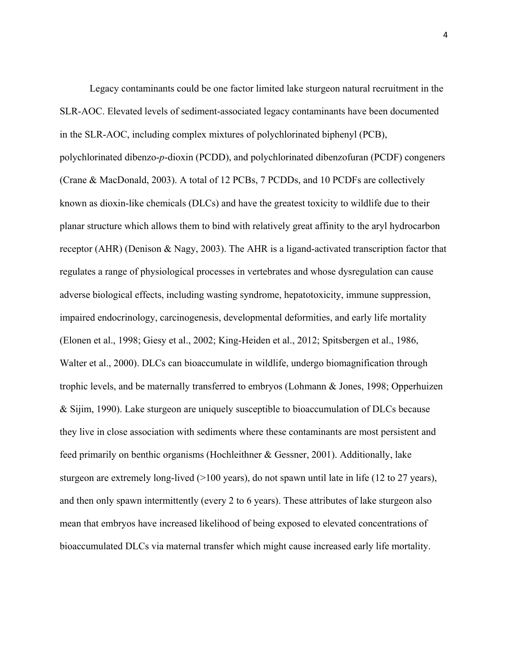Legacy contaminants could be one factor limited lake sturgeon natural recruitment in the SLR-AOC. Elevated levels of sediment-associated legacy contaminants have been documented in the SLR-AOC, including complex mixtures of polychlorinated biphenyl (PCB), polychlorinated dibenzo-*p*-dioxin (PCDD), and polychlorinated dibenzofuran (PCDF) congeners (Crane & MacDonald, 2003). A total of 12 PCBs, 7 PCDDs, and 10 PCDFs are collectively known as dioxin-like chemicals (DLCs) and have the greatest toxicity to wildlife due to their planar structure which allows them to bind with relatively great affinity to the aryl hydrocarbon receptor (AHR) (Denison & Nagy, 2003). The AHR is a ligand-activated transcription factor that regulates a range of physiological processes in vertebrates and whose dysregulation can cause adverse biological effects, including wasting syndrome, hepatotoxicity, immune suppression, impaired endocrinology, carcinogenesis, developmental deformities, and early life mortality (Elonen et al., 1998; Giesy et al., 2002; King-Heiden et al., 2012; Spitsbergen et al., 1986, Walter et al., 2000). DLCs can bioaccumulate in wildlife, undergo biomagnification through trophic levels, and be maternally transferred to embryos (Lohmann & Jones, 1998; Opperhuizen & Sijim, 1990). Lake sturgeon are uniquely susceptible to bioaccumulation of DLCs because they live in close association with sediments where these contaminants are most persistent and feed primarily on benthic organisms (Hochleithner & Gessner, 2001). Additionally, lake sturgeon are extremely long-lived (>100 years), do not spawn until late in life (12 to 27 years), and then only spawn intermittently (every 2 to 6 years). These attributes of lake sturgeon also mean that embryos have increased likelihood of being exposed to elevated concentrations of bioaccumulated DLCs via maternal transfer which might cause increased early life mortality.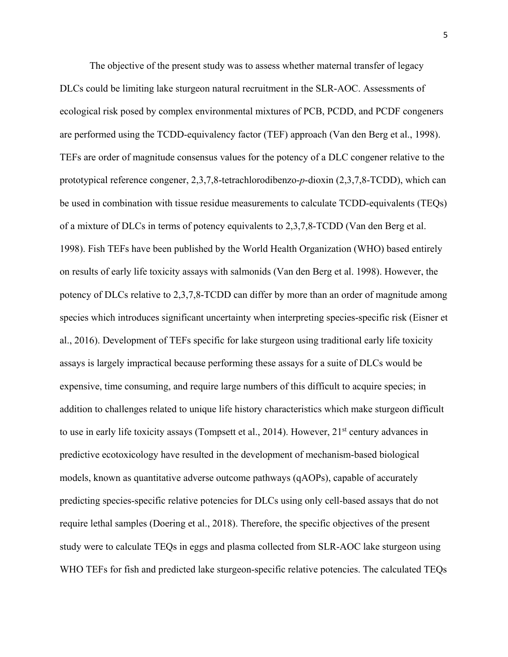The objective of the present study was to assess whether maternal transfer of legacy DLCs could be limiting lake sturgeon natural recruitment in the SLR-AOC. Assessments of ecological risk posed by complex environmental mixtures of PCB, PCDD, and PCDF congeners are performed using the TCDD-equivalency factor (TEF) approach (Van den Berg et al., 1998). TEFs are order of magnitude consensus values for the potency of a DLC congener relative to the prototypical reference congener, 2,3,7,8-tetrachlorodibenzo-*p*-dioxin (2,3,7,8-TCDD), which can be used in combination with tissue residue measurements to calculate TCDD-equivalents (TEQs) of a mixture of DLCs in terms of potency equivalents to 2,3,7,8-TCDD (Van den Berg et al. 1998). Fish TEFs have been published by the World Health Organization (WHO) based entirely on results of early life toxicity assays with salmonids (Van den Berg et al. 1998). However, the potency of DLCs relative to 2,3,7,8-TCDD can differ by more than an order of magnitude among species which introduces significant uncertainty when interpreting species-specific risk (Eisner et al., 2016). Development of TEFs specific for lake sturgeon using traditional early life toxicity assays is largely impractical because performing these assays for a suite of DLCs would be expensive, time consuming, and require large numbers of this difficult to acquire species; in addition to challenges related to unique life history characteristics which make sturgeon difficult to use in early life toxicity assays (Tompsett et al., 2014). However, 21<sup>st</sup> century advances in predictive ecotoxicology have resulted in the development of mechanism-based biological models, known as quantitative adverse outcome pathways (qAOPs), capable of accurately predicting species-specific relative potencies for DLCs using only cell-based assays that do not require lethal samples (Doering et al., 2018). Therefore, the specific objectives of the present study were to calculate TEQs in eggs and plasma collected from SLR-AOC lake sturgeon using WHO TEFs for fish and predicted lake sturgeon-specific relative potencies. The calculated TEQs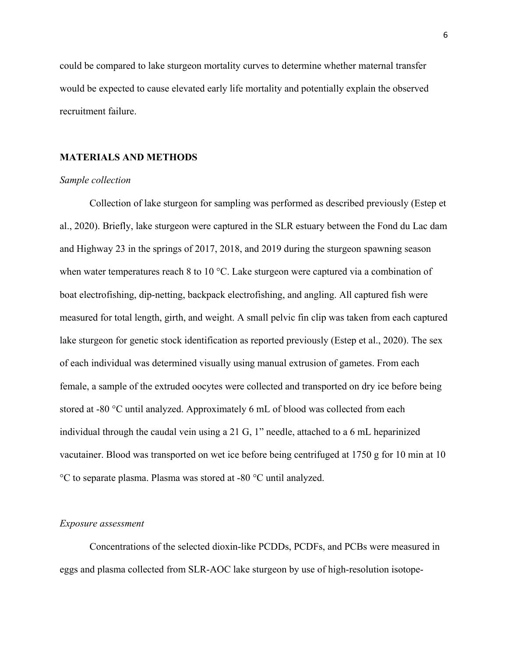could be compared to lake sturgeon mortality curves to determine whether maternal transfer would be expected to cause elevated early life mortality and potentially explain the observed recruitment failure.

#### **MATERIALS AND METHODS**

#### *Sample collection*

 Collection of lake sturgeon for sampling was performed as described previously (Estep et al., 2020). Briefly, lake sturgeon were captured in the SLR estuary between the Fond du Lac dam and Highway 23 in the springs of 2017, 2018, and 2019 during the sturgeon spawning season when water temperatures reach 8 to 10 °C. Lake sturgeon were captured via a combination of boat electrofishing, dip-netting, backpack electrofishing, and angling. All captured fish were measured for total length, girth, and weight. A small pelvic fin clip was taken from each captured lake sturgeon for genetic stock identification as reported previously (Estep et al., 2020). The sex of each individual was determined visually using manual extrusion of gametes. From each female, a sample of the extruded oocytes were collected and transported on dry ice before being stored at -80 °C until analyzed. Approximately 6 mL of blood was collected from each individual through the caudal vein using a 21 G, 1" needle, attached to a 6 mL heparinized vacutainer. Blood was transported on wet ice before being centrifuged at 1750 g for 10 min at 10 °C to separate plasma. Plasma was stored at -80 °C until analyzed.

#### *Exposure assessment*

Concentrations of the selected dioxin-like PCDDs, PCDFs, and PCBs were measured in eggs and plasma collected from SLR-AOC lake sturgeon by use of high-resolution isotope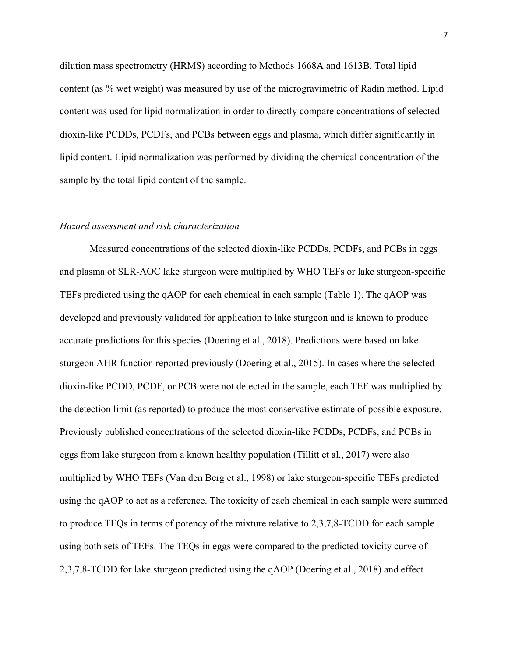dilution mass spectrometry (HRMS) according to Methods 1668A and 1613B. Total lipid content (as % wet weight) was measured by use of the microgravimetric of Radin method. Lipid content was used for lipid normalization in order to directly compare concentrations of selected dioxin-like PCDDs, PCDFs, and PCBs between eggs and plasma, which differ significantly in lipid content. Lipid normalization was performed by dividing the chemical concentration of the sample by the total lipid content of the sample.

#### *Hazard assessment and risk characterization*

Measured concentrations of the selected dioxin-like PCDDs, PCDFs, and PCBs in eggs and plasma of SLR-AOC lake sturgeon were multiplied by WHO TEFs or lake sturgeon-specific TEFs predicted using the qAOP for each chemical in each sample (Table 1). The qAOP was developed and previously validated for application to lake sturgeon and is known to produce accurate predictions for this species (Doering et al., 2018). Predictions were based on lake sturgeon AHR function reported previously (Doering et al., 2015). In cases where the selected dioxin-like PCDD, PCDF, or PCB were not detected in the sample, each TEF was multiplied by the detection limit (as reported) to produce the most conservative estimate of possible exposure. Previously published concentrations of the selected dioxin-like PCDDs, PCDFs, and PCBs in eggs from lake sturgeon from a known healthy population (Tillitt et al., 2017) were also multiplied by WHO TEFs (Van den Berg et al., 1998) or lake sturgeon-specific TEFs predicted using the qAOP to act as a reference. The toxicity of each chemical in each sample were summed to produce TEQs in terms of potency of the mixture relative to 2,3,7,8-TCDD for each sample using both sets of TEFs. The TEQs in eggs were compared to the predicted toxicity curve of 2,3,7,8-TCDD for lake sturgeon predicted using the qAOP (Doering et al., 2018) and effect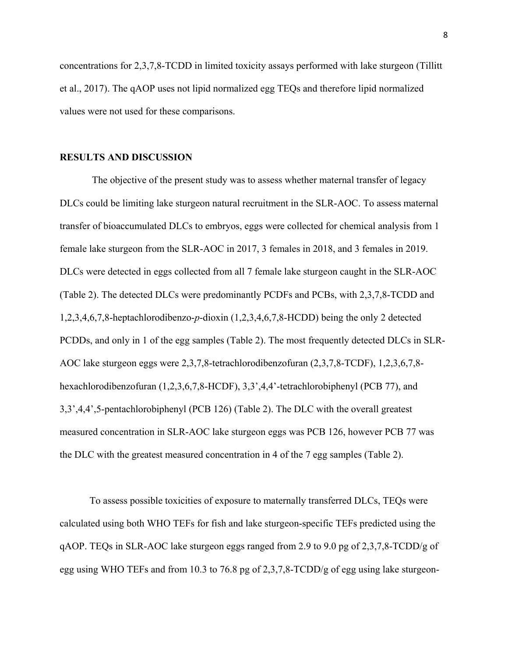concentrations for 2,3,7,8-TCDD in limited toxicity assays performed with lake sturgeon (Tillitt et al., 2017). The qAOP uses not lipid normalized egg TEQs and therefore lipid normalized values were not used for these comparisons.

#### **RESULTS AND DISCUSSION**

 The objective of the present study was to assess whether maternal transfer of legacy DLCs could be limiting lake sturgeon natural recruitment in the SLR-AOC. To assess maternal transfer of bioaccumulated DLCs to embryos, eggs were collected for chemical analysis from 1 female lake sturgeon from the SLR-AOC in 2017, 3 females in 2018, and 3 females in 2019. DLCs were detected in eggs collected from all 7 female lake sturgeon caught in the SLR-AOC (Table 2). The detected DLCs were predominantly PCDFs and PCBs, with 2,3,7,8-TCDD and 1,2,3,4,6,7,8-heptachlorodibenzo-*p*-dioxin (1,2,3,4,6,7,8-HCDD) being the only 2 detected PCDDs, and only in 1 of the egg samples (Table 2). The most frequently detected DLCs in SLR-AOC lake sturgeon eggs were 2,3,7,8-tetrachlorodibenzofuran (2,3,7,8-TCDF), 1,2,3,6,7,8 hexachlorodibenzofuran (1,2,3,6,7,8-HCDF), 3,3',4,4'-tetrachlorobiphenyl (PCB 77), and 3,3',4,4',5-pentachlorobiphenyl (PCB 126) (Table 2). The DLC with the overall greatest measured concentration in SLR-AOC lake sturgeon eggs was PCB 126, however PCB 77 was the DLC with the greatest measured concentration in 4 of the 7 egg samples (Table 2).

To assess possible toxicities of exposure to maternally transferred DLCs, TEQs were calculated using both WHO TEFs for fish and lake sturgeon-specific TEFs predicted using the qAOP. TEQs in SLR-AOC lake sturgeon eggs ranged from 2.9 to 9.0 pg of 2,3,7,8-TCDD/g of egg using WHO TEFs and from 10.3 to 76.8 pg of 2,3,7,8-TCDD/g of egg using lake sturgeon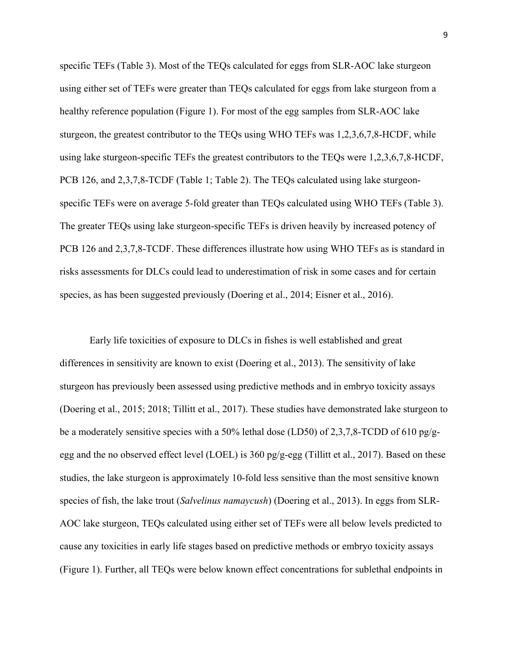specific TEFs (Table 3). Most of the TEQs calculated for eggs from SLR-AOC lake sturgeon using either set of TEFs were greater than TEQs calculated for eggs from lake sturgeon from a healthy reference population (Figure 1). For most of the egg samples from SLR-AOC lake sturgeon, the greatest contributor to the TEQs using WHO TEFs was 1,2,3,6,7,8-HCDF, while using lake sturgeon-specific TEFs the greatest contributors to the TEQs were 1,2,3,6,7,8-HCDF, PCB 126, and 2,3,7,8-TCDF (Table 1; Table 2). The TEQs calculated using lake sturgeonspecific TEFs were on average 5-fold greater than TEQs calculated using WHO TEFs (Table 3). The greater TEQs using lake sturgeon-specific TEFs is driven heavily by increased potency of PCB 126 and 2,3,7,8-TCDF. These differences illustrate how using WHO TEFs as is standard in risks assessments for DLCs could lead to underestimation of risk in some cases and for certain species, as has been suggested previously (Doering et al., 2014; Eisner et al., 2016).

Early life toxicities of exposure to DLCs in fishes is well established and great differences in sensitivity are known to exist (Doering et al., 2013). The sensitivity of lake sturgeon has previously been assessed using predictive methods and in embryo toxicity assays (Doering et al., 2015; 2018; Tillitt et al., 2017). These studies have demonstrated lake sturgeon to be a moderately sensitive species with a 50% lethal dose (LD50) of 2,3,7,8-TCDD of 610 pg/gegg and the no observed effect level (LOEL) is  $360 \frac{\text{pg}}{\text{g-egg}}$  (Tillitt et al., 2017). Based on these studies, the lake sturgeon is approximately 10-fold less sensitive than the most sensitive known species of fish, the lake trout (*Salvelinus namaycush*) (Doering et al., 2013). In eggs from SLR-AOC lake sturgeon, TEQs calculated using either set of TEFs were all below levels predicted to cause any toxicities in early life stages based on predictive methods or embryo toxicity assays (Figure 1). Further, all TEQs were below known effect concentrations for sublethal endpoints in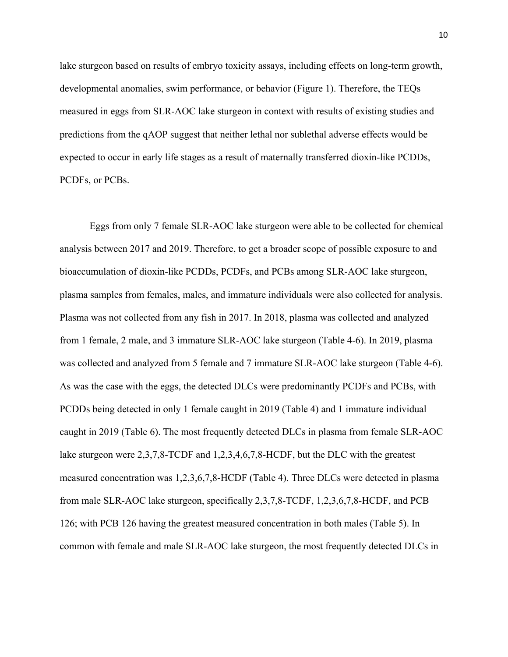lake sturgeon based on results of embryo toxicity assays, including effects on long-term growth, developmental anomalies, swim performance, or behavior (Figure 1). Therefore, the TEQs measured in eggs from SLR-AOC lake sturgeon in context with results of existing studies and predictions from the qAOP suggest that neither lethal nor sublethal adverse effects would be expected to occur in early life stages as a result of maternally transferred dioxin-like PCDDs, PCDFs, or PCBs.

Eggs from only 7 female SLR-AOC lake sturgeon were able to be collected for chemical analysis between 2017 and 2019. Therefore, to get a broader scope of possible exposure to and bioaccumulation of dioxin-like PCDDs, PCDFs, and PCBs among SLR-AOC lake sturgeon, plasma samples from females, males, and immature individuals were also collected for analysis. Plasma was not collected from any fish in 2017. In 2018, plasma was collected and analyzed from 1 female, 2 male, and 3 immature SLR-AOC lake sturgeon (Table 4-6). In 2019, plasma was collected and analyzed from 5 female and 7 immature SLR-AOC lake sturgeon (Table 4-6). As was the case with the eggs, the detected DLCs were predominantly PCDFs and PCBs, with PCDDs being detected in only 1 female caught in 2019 (Table 4) and 1 immature individual caught in 2019 (Table 6). The most frequently detected DLCs in plasma from female SLR-AOC lake sturgeon were 2,3,7,8-TCDF and 1,2,3,4,6,7,8-HCDF, but the DLC with the greatest measured concentration was 1,2,3,6,7,8-HCDF (Table 4). Three DLCs were detected in plasma from male SLR-AOC lake sturgeon, specifically 2,3,7,8-TCDF, 1,2,3,6,7,8-HCDF, and PCB 126; with PCB 126 having the greatest measured concentration in both males (Table 5). In common with female and male SLR-AOC lake sturgeon, the most frequently detected DLCs in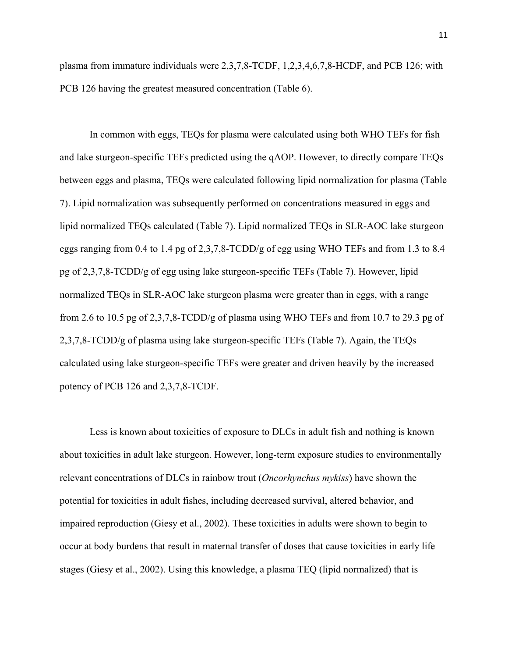plasma from immature individuals were 2,3,7,8-TCDF, 1,2,3,4,6,7,8-HCDF, and PCB 126; with PCB 126 having the greatest measured concentration (Table 6).

In common with eggs, TEQs for plasma were calculated using both WHO TEFs for fish and lake sturgeon-specific TEFs predicted using the qAOP. However, to directly compare TEQs between eggs and plasma, TEQs were calculated following lipid normalization for plasma (Table 7). Lipid normalization was subsequently performed on concentrations measured in eggs and lipid normalized TEQs calculated (Table 7). Lipid normalized TEQs in SLR-AOC lake sturgeon eggs ranging from 0.4 to 1.4 pg of 2,3,7,8-TCDD/g of egg using WHO TEFs and from 1.3 to 8.4 pg of 2,3,7,8-TCDD/g of egg using lake sturgeon-specific TEFs (Table 7). However, lipid normalized TEQs in SLR-AOC lake sturgeon plasma were greater than in eggs, with a range from 2.6 to 10.5 pg of 2,3,7,8-TCDD/g of plasma using WHO TEFs and from 10.7 to 29.3 pg of 2,3,7,8-TCDD/g of plasma using lake sturgeon-specific TEFs (Table 7). Again, the TEQs calculated using lake sturgeon-specific TEFs were greater and driven heavily by the increased potency of PCB 126 and 2,3,7,8-TCDF.

Less is known about toxicities of exposure to DLCs in adult fish and nothing is known about toxicities in adult lake sturgeon. However, long-term exposure studies to environmentally relevant concentrations of DLCs in rainbow trout (*Oncorhynchus mykiss*) have shown the potential for toxicities in adult fishes, including decreased survival, altered behavior, and impaired reproduction (Giesy et al., 2002). These toxicities in adults were shown to begin to occur at body burdens that result in maternal transfer of doses that cause toxicities in early life stages (Giesy et al., 2002). Using this knowledge, a plasma TEQ (lipid normalized) that is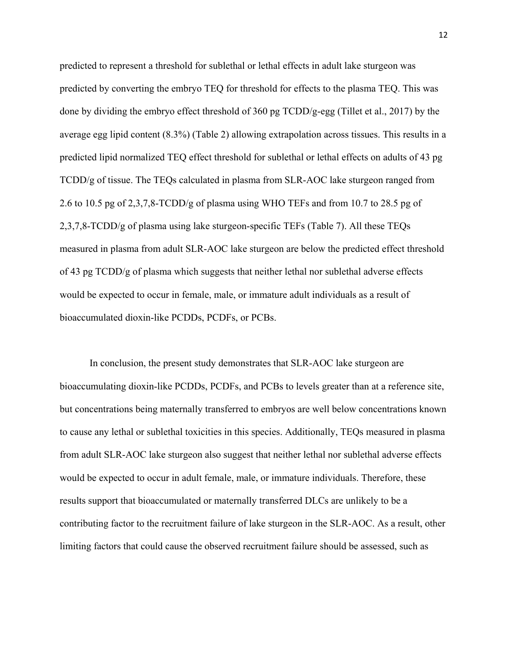predicted to represent a threshold for sublethal or lethal effects in adult lake sturgeon was predicted by converting the embryo TEQ for threshold for effects to the plasma TEQ. This was done by dividing the embryo effect threshold of 360 pg TCDD/g-egg (Tillet et al., 2017) by the average egg lipid content (8.3%) (Table 2) allowing extrapolation across tissues. This results in a predicted lipid normalized TEQ effect threshold for sublethal or lethal effects on adults of 43 pg TCDD/g of tissue. The TEQs calculated in plasma from SLR-AOC lake sturgeon ranged from 2.6 to 10.5 pg of 2,3,7,8-TCDD/g of plasma using WHO TEFs and from 10.7 to 28.5 pg of 2,3,7,8-TCDD/g of plasma using lake sturgeon-specific TEFs (Table 7). All these TEQs measured in plasma from adult SLR-AOC lake sturgeon are below the predicted effect threshold of 43 pg TCDD/g of plasma which suggests that neither lethal nor sublethal adverse effects would be expected to occur in female, male, or immature adult individuals as a result of bioaccumulated dioxin-like PCDDs, PCDFs, or PCBs.

In conclusion, the present study demonstrates that SLR-AOC lake sturgeon are bioaccumulating dioxin-like PCDDs, PCDFs, and PCBs to levels greater than at a reference site, but concentrations being maternally transferred to embryos are well below concentrations known to cause any lethal or sublethal toxicities in this species. Additionally, TEQs measured in plasma from adult SLR-AOC lake sturgeon also suggest that neither lethal nor sublethal adverse effects would be expected to occur in adult female, male, or immature individuals. Therefore, these results support that bioaccumulated or maternally transferred DLCs are unlikely to be a contributing factor to the recruitment failure of lake sturgeon in the SLR-AOC. As a result, other limiting factors that could cause the observed recruitment failure should be assessed, such as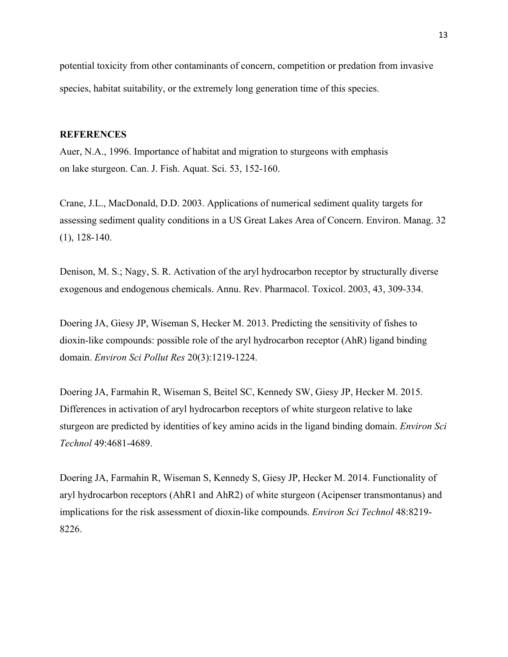potential toxicity from other contaminants of concern, competition or predation from invasive species, habitat suitability, or the extremely long generation time of this species.

#### **REFERENCES**

Auer, N.A., 1996. Importance of habitat and migration to sturgeons with emphasis on lake sturgeon. Can. J. Fish. Aquat. Sci. 53, 152-160.

Crane, J.L., MacDonald, D.D. 2003. Applications of numerical sediment quality targets for assessing sediment quality conditions in a US Great Lakes Area of Concern. Environ. Manag. 32 (1), 128-140.

Denison, M. S.; Nagy, S. R. Activation of the aryl hydrocarbon receptor by structurally diverse exogenous and endogenous chemicals. Annu. Rev. Pharmacol. Toxicol. 2003, 43, 309-334.

Doering JA, Giesy JP, Wiseman S, Hecker M. 2013. Predicting the sensitivity of fishes to dioxin-like compounds: possible role of the aryl hydrocarbon receptor (AhR) ligand binding domain. *Environ Sci Pollut Res* 20(3):1219-1224.

Doering JA, Farmahin R, Wiseman S, Beitel SC, Kennedy SW, Giesy JP, Hecker M. 2015. Differences in activation of aryl hydrocarbon receptors of white sturgeon relative to lake sturgeon are predicted by identities of key amino acids in the ligand binding domain. *Environ Sci Technol* 49:4681-4689.

Doering JA, Farmahin R, Wiseman S, Kennedy S, Giesy JP, Hecker M. 2014. Functionality of aryl hydrocarbon receptors (AhR1 and AhR2) of white sturgeon (Acipenser transmontanus) and implications for the risk assessment of dioxin-like compounds. *Environ Sci Technol* 48:8219- 8226.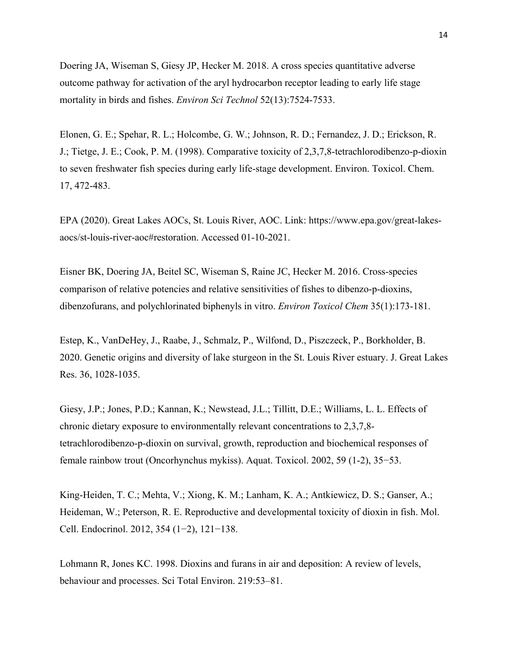Doering JA, Wiseman S, Giesy JP, Hecker M. 2018. A cross species quantitative adverse outcome pathway for activation of the aryl hydrocarbon receptor leading to early life stage mortality in birds and fishes. *Environ Sci Technol* 52(13):7524-7533.

Elonen, G. E.; Spehar, R. L.; Holcombe, G. W.; Johnson, R. D.; Fernandez, J. D.; Erickson, R. J.; Tietge, J. E.; Cook, P. M. (1998). Comparative toxicity of 2,3,7,8-tetrachlorodibenzo-p-dioxin to seven freshwater fish species during early life-stage development. Environ. Toxicol. Chem. 17, 472-483.

EPA (2020). Great Lakes AOCs, St. Louis River, AOC. Link: https://www.epa.gov/great-lakesaocs/st-louis-river-aoc#restoration. Accessed 01-10-2021.

Eisner BK, Doering JA, Beitel SC, Wiseman S, Raine JC, Hecker M. 2016. Cross-species comparison of relative potencies and relative sensitivities of fishes to dibenzo-p-dioxins, dibenzofurans, and polychlorinated biphenyls in vitro. *Environ Toxicol Chem* 35(1):173-181.

Estep, K., VanDeHey, J., Raabe, J., Schmalz, P., Wilfond, D., Piszczeck, P., Borkholder, B. 2020. Genetic origins and diversity of lake sturgeon in the St. Louis River estuary. J. Great Lakes Res. 36, 1028-1035.

Giesy, J.P.; Jones, P.D.; Kannan, K.; Newstead, J.L.; Tillitt, D.E.; Williams, L. L. Effects of chronic dietary exposure to environmentally relevant concentrations to 2,3,7,8 tetrachlorodibenzo-p-dioxin on survival, growth, reproduction and biochemical responses of female rainbow trout (Oncorhynchus mykiss). Aquat. Toxicol. 2002, 59 (1-2), 35−53.

King-Heiden, T. C.; Mehta, V.; Xiong, K. M.; Lanham, K. A.; Antkiewicz, D. S.; Ganser, A.; Heideman, W.; Peterson, R. E. Reproductive and developmental toxicity of dioxin in fish. Mol. Cell. Endocrinol. 2012, 354 (1−2), 121−138.

Lohmann R, Jones KC. 1998. Dioxins and furans in air and deposition: A review of levels, behaviour and processes. Sci Total Environ. 219:53–81.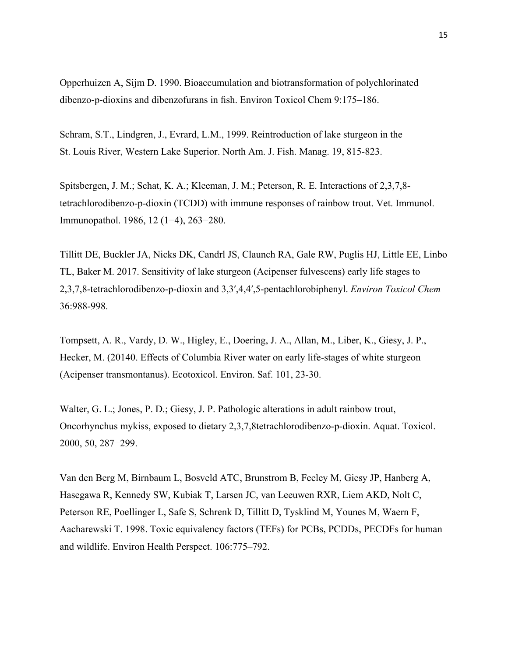Opperhuizen A, Sijm D. 1990. Bioaccumulation and biotransformation of polychlorinated dibenzo-p-dioxins and dibenzofurans in fish. Environ Toxicol Chem 9:175–186.

Schram, S.T., Lindgren, J., Evrard, L.M., 1999. Reintroduction of lake sturgeon in the St. Louis River, Western Lake Superior. North Am. J. Fish. Manag. 19, 815-823.

Spitsbergen, J. M.; Schat, K. A.; Kleeman, J. M.; Peterson, R. E. Interactions of 2,3,7,8 tetrachlorodibenzo-p-dioxin (TCDD) with immune responses of rainbow trout. Vet. Immunol. Immunopathol. 1986, 12 (1−4), 263−280.

Tillitt DE, Buckler JA, Nicks DK, Candrl JS, Claunch RA, Gale RW, Puglis HJ, Little EE, Linbo TL, Baker M. 2017. Sensitivity of lake sturgeon (Acipenser fulvescens) early life stages to 2,3,7,8-tetrachlorodibenzo-p-dioxin and 3,3′,4,4′,5-pentachlorobiphenyl. *Environ Toxicol Chem* 36:988-998.

Tompsett, A. R., Vardy, D. W., Higley, E., Doering, J. A., Allan, M., Liber, K., Giesy, J. P., Hecker, M. (20140. Effects of Columbia River water on early life-stages of white sturgeon (Acipenser transmontanus). Ecotoxicol. Environ. Saf. 101, 23-30.

Walter, G. L.; Jones, P. D.; Giesy, J. P. Pathologic alterations in adult rainbow trout, Oncorhynchus mykiss, exposed to dietary 2,3,7,8tetrachlorodibenzo-p-dioxin. Aquat. Toxicol. 2000, 50, 287−299.

Van den Berg M, Birnbaum L, Bosveld ATC, Brunstrom B, Feeley M, Giesy JP, Hanberg A, Hasegawa R, Kennedy SW, Kubiak T, Larsen JC, van Leeuwen RXR, Liem AKD, Nolt C, Peterson RE, Poellinger L, Safe S, Schrenk D, Tillitt D, Tysklind M, Younes M, Waern F, Aacharewski T. 1998. Toxic equivalency factors (TEFs) for PCBs, PCDDs, PECDFs for human and wildlife. Environ Health Perspect. 106:775–792.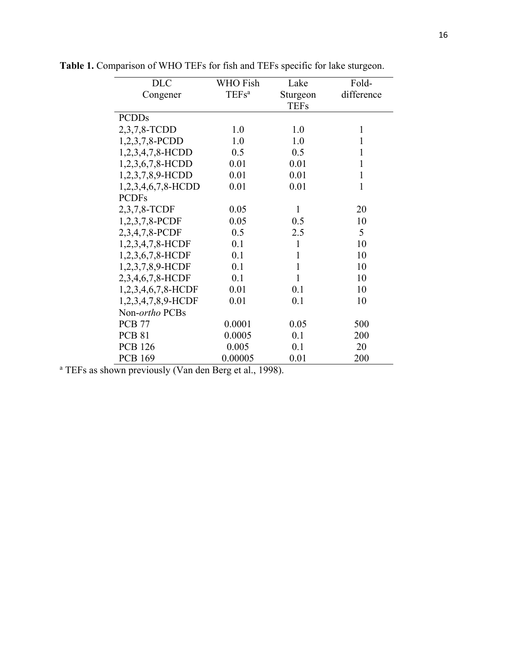| <b>DLC</b>         | <b>WHO</b> Fish   | Lake         | Fold-        |
|--------------------|-------------------|--------------|--------------|
| Congener           | TEFs <sup>a</sup> | Sturgeon     | difference   |
|                    |                   | <b>TEFs</b>  |              |
| <b>PCDDs</b>       |                   |              |              |
| 2,3,7,8-TCDD       | 1.0               | 1.0          | $\mathbf{1}$ |
| $1,2,3,7,8$ -PCDD  | 1.0               | 1.0          | $\mathbf{1}$ |
| 1,2,3,4,7,8-HCDD   | 0.5               | 0.5          | 1            |
| 1,2,3,6,7,8-HCDD   | 0.01              | 0.01         | 1            |
| 1,2,3,7,8,9-HCDD   | 0.01              | 0.01         | $\mathbf 1$  |
| 1,2,3,4,6,7,8-HCDD | 0.01              | 0.01         | 1            |
| <b>PCDFs</b>       |                   |              |              |
| 2,3,7,8-TCDF       | 0.05              | $\mathbf{1}$ | 20           |
| 1,2,3,7,8-PCDF     | 0.05              | 0.5          | 10           |
| 2,3,4,7,8-PCDF     | 0.5               | 2.5          | 5            |
| 1,2,3,4,7,8-HCDF   | 0.1               | $\mathbf{1}$ | 10           |
| 1,2,3,6,7,8-HCDF   | 0.1               | $\mathbf{1}$ | 10           |
| 1,2,3,7,8,9-HCDF   | 0.1               | $\mathbf{1}$ | 10           |
| 2,3,4,6,7,8-HCDF   | 0.1               | $\mathbf{1}$ | 10           |
| 1,2,3,4,6,7,8-HCDF | 0.01              | 0.1          | 10           |
| 1,2,3,4,7,8,9-HCDF | 0.01              | 0.1          | 10           |
| Non-ortho PCBs     |                   |              |              |
| <b>PCB 77</b>      | 0.0001            | 0.05         | 500          |
| <b>PCB 81</b>      | 0.0005            | 0.1          | 200          |
| <b>PCB 126</b>     | 0.005             | 0.1          | 20           |
| <b>PCB 169</b>     | 0.00005           | 0.01         | 200          |

**Table 1.** Comparison of WHO TEFs for fish and TEFs specific for lake sturgeon.

<sup>a</sup> TEFs as shown previously (Van den Berg et al., 1998).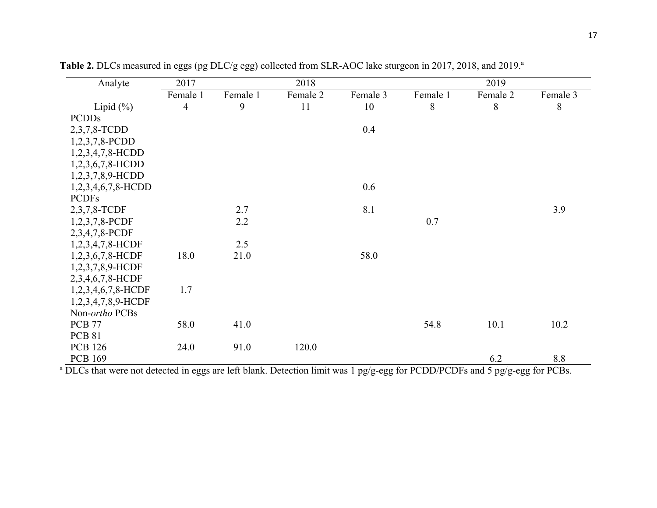| Analyte               | 2017           |          | 2018     |          |          | 2019     |          |
|-----------------------|----------------|----------|----------|----------|----------|----------|----------|
|                       | Female 1       | Female 1 | Female 2 | Female 3 | Female 1 | Female 2 | Female 3 |
| Lipid $(\% )$         | $\overline{4}$ | 9        | 11       | 10       | 8        | 8        | 8        |
| <b>PCDDs</b>          |                |          |          |          |          |          |          |
| 2,3,7,8-TCDD          |                |          |          | 0.4      |          |          |          |
| 1,2,3,7,8-PCDD        |                |          |          |          |          |          |          |
| 1,2,3,4,7,8-HCDD      |                |          |          |          |          |          |          |
| 1,2,3,6,7,8-HCDD      |                |          |          |          |          |          |          |
| 1,2,3,7,8,9-HCDD      |                |          |          |          |          |          |          |
| $1,2,3,4,6,7,8$ -HCDD |                |          |          | 0.6      |          |          |          |
| <b>PCDFs</b>          |                |          |          |          |          |          |          |
| 2,3,7,8-TCDF          |                | 2.7      |          | 8.1      |          |          | 3.9      |
| 1,2,3,7,8-PCDF        |                | 2.2      |          |          | 0.7      |          |          |
| 2,3,4,7,8-PCDF        |                |          |          |          |          |          |          |
| 1,2,3,4,7,8-HCDF      |                | 2.5      |          |          |          |          |          |
| 1,2,3,6,7,8-HCDF      | 18.0           | 21.0     |          | 58.0     |          |          |          |
| 1,2,3,7,8,9-HCDF      |                |          |          |          |          |          |          |
| 2,3,4,6,7,8-HCDF      |                |          |          |          |          |          |          |
| 1,2,3,4,6,7,8-HCDF    | 1.7            |          |          |          |          |          |          |
| 1,2,3,4,7,8,9-HCDF    |                |          |          |          |          |          |          |
| Non-ortho PCBs        |                |          |          |          |          |          |          |
| <b>PCB 77</b>         | 58.0           | 41.0     |          |          | 54.8     | 10.1     | 10.2     |
| <b>PCB 81</b>         |                |          |          |          |          |          |          |
| <b>PCB</b> 126        | 24.0           | 91.0     | 120.0    |          |          |          |          |
| <b>PCB 169</b>        |                |          |          |          |          | 6.2      | 8.8      |

Table 2. DLCs measured in eggs (pg DLC/g egg) collected from SLR-AOC lake sturgeon in 2017, 2018, and 2019.<sup>a</sup>

<sup>a</sup> DLCs that were not detected in eggs are left blank. Detection limit was 1 pg/g-egg for PCDD/PCDFs and 5 pg/g-egg for PCBs.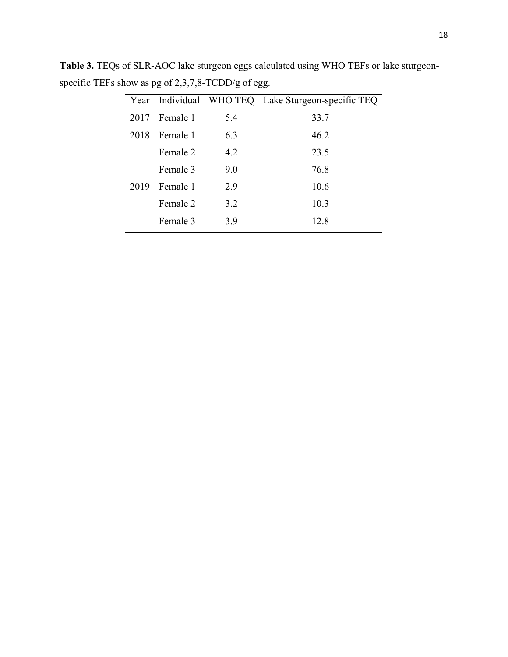|      |                 |     | Year Individual WHO TEQ Lake Sturgeon-specific TEQ |
|------|-----------------|-----|----------------------------------------------------|
| 2017 | Female 1        | 5.4 | 33.7                                               |
| 2018 | <b>Female 1</b> | 6.3 | 46.2                                               |
|      | Female 2        | 4.2 | 23.5                                               |
|      | Female 3        | 9.0 | 76.8                                               |
| 2019 | Female 1        | 2.9 | 10.6                                               |
|      | Female 2        | 3.2 | 10.3                                               |
|      | Female 3        | 3.9 | 12.8                                               |

**Table 3.** TEQs of SLR-AOC lake sturgeon eggs calculated using WHO TEFs or lake sturgeonspecific TEFs show as pg of 2,3,7,8-TCDD/g of egg.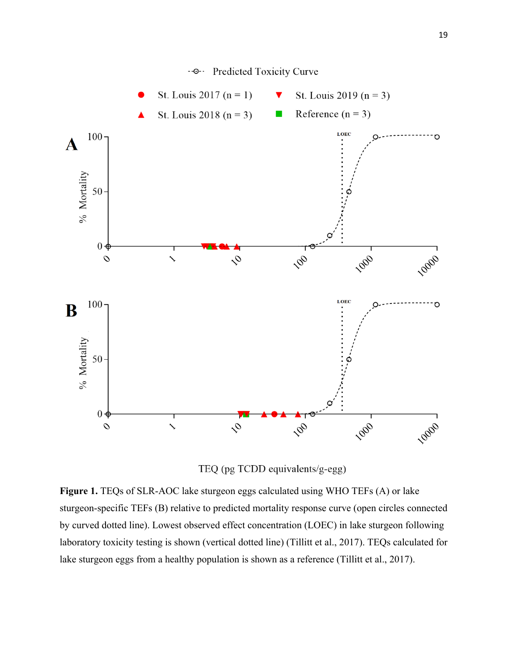

TEQ (pg TCDD equivalents/g-egg)

**Figure 1.** TEQs of SLR-AOC lake sturgeon eggs calculated using WHO TEFs (A) or lake sturgeon-specific TEFs (B) relative to predicted mortality response curve (open circles connected by curved dotted line). Lowest observed effect concentration (LOEC) in lake sturgeon following laboratory toxicity testing is shown (vertical dotted line) (Tillitt et al., 2017). TEQs calculated for lake sturgeon eggs from a healthy population is shown as a reference (Tillitt et al., 2017).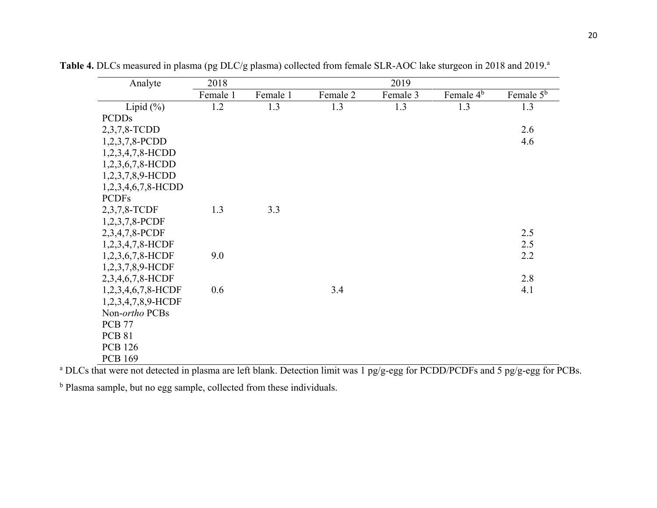| Analyte               | 2018     | 2019     |          |          |                       |                       |  |  |
|-----------------------|----------|----------|----------|----------|-----------------------|-----------------------|--|--|
|                       | Female 1 | Female 1 | Female 2 | Female 3 | Female 4 <sup>b</sup> | Female 5 <sup>b</sup> |  |  |
| Lipid $(\%)$          | 1.2      | 1.3      | 1.3      | 1.3      | 1.3                   | 1.3                   |  |  |
| <b>PCDDs</b>          |          |          |          |          |                       |                       |  |  |
| 2,3,7,8-TCDD          |          |          |          |          |                       | 2.6                   |  |  |
| 1,2,3,7,8-PCDD        |          |          |          |          |                       | 4.6                   |  |  |
| 1,2,3,4,7,8-HCDD      |          |          |          |          |                       |                       |  |  |
| 1,2,3,6,7,8-HCDD      |          |          |          |          |                       |                       |  |  |
| 1,2,3,7,8,9-HCDD      |          |          |          |          |                       |                       |  |  |
| $1,2,3,4,6,7,8$ -HCDD |          |          |          |          |                       |                       |  |  |
| <b>PCDFs</b>          |          |          |          |          |                       |                       |  |  |
| 2,3,7,8-TCDF          | 1.3      | 3.3      |          |          |                       |                       |  |  |
| $1,2,3,7,8$ -PCDF     |          |          |          |          |                       |                       |  |  |
| 2,3,4,7,8-PCDF        |          |          |          |          |                       | 2.5                   |  |  |
| 1,2,3,4,7,8-HCDF      |          |          |          |          |                       | 2.5                   |  |  |
| 1,2,3,6,7,8-HCDF      | 9.0      |          |          |          |                       | 2.2                   |  |  |
| 1,2,3,7,8,9-HCDF      |          |          |          |          |                       |                       |  |  |
| 2,3,4,6,7,8-HCDF      |          |          |          |          |                       | 2.8                   |  |  |
| 1,2,3,4,6,7,8-HCDF    | 0.6      |          | 3.4      |          |                       | 4.1                   |  |  |
| 1,2,3,4,7,8,9-HCDF    |          |          |          |          |                       |                       |  |  |
| Non-ortho PCBs        |          |          |          |          |                       |                       |  |  |
| <b>PCB 77</b>         |          |          |          |          |                       |                       |  |  |
| <b>PCB 81</b>         |          |          |          |          |                       |                       |  |  |
| <b>PCB 126</b>        |          |          |          |          |                       |                       |  |  |
| <b>PCB 169</b>        |          |          |          |          |                       |                       |  |  |

Table 4. DLCs measured in plasma (pg DLC/g plasma) collected from female SLR-AOC lake sturgeon in 2018 and 2019.<sup>a</sup>

<sup>a</sup> DLCs that were not detected in plasma are left blank. Detection limit was 1 pg/g-egg for PCDD/PCDFs and 5 pg/g-egg for PCBs.

<sup>b</sup> Plasma sample, but no egg sample, collected from these individuals.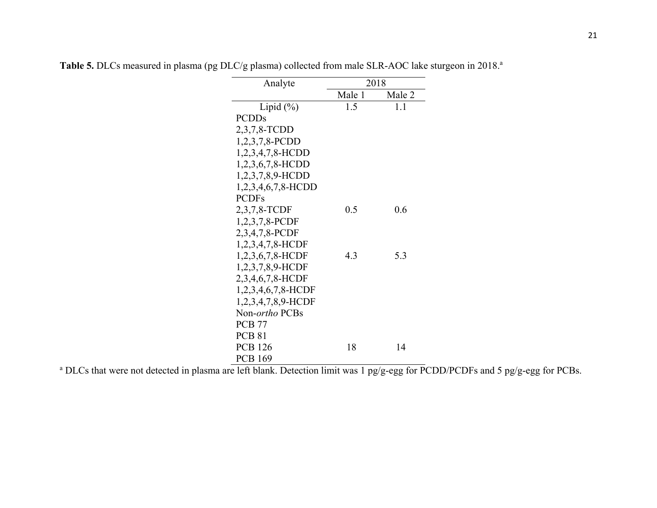| Analyte             | 2018   |        |  |  |  |
|---------------------|--------|--------|--|--|--|
|                     | Male 1 | Male 2 |  |  |  |
| Lipid $(\%)$        | 1.5    | 1.1    |  |  |  |
| <b>PCDDs</b>        |        |        |  |  |  |
| 2,3,7,8-TCDD        |        |        |  |  |  |
| 1,2,3,7,8-PCDD      |        |        |  |  |  |
| $1,2,3,4,7,8-HCDD$  |        |        |  |  |  |
| $1,2,3,6,7,8$ -HCDD |        |        |  |  |  |
| 1,2,3,7,8,9-HCDD    |        |        |  |  |  |
| 1,2,3,4,6,7,8-HCDD  |        |        |  |  |  |
| <b>PCDFs</b>        |        |        |  |  |  |
| 2,3,7,8-TCDF        | 0.5    | 0.6    |  |  |  |
| 1,2,3,7,8-PCDF      |        |        |  |  |  |
| 2,3,4,7,8-PCDF      |        |        |  |  |  |
| 1,2,3,4,7,8-HCDF    |        |        |  |  |  |
| 1,2,3,6,7,8-HCDF    | 4.3    | 5.3    |  |  |  |
| 1,2,3,7,8,9-HCDF    |        |        |  |  |  |
| 2,3,4,6,7,8-HCDF    |        |        |  |  |  |
| 1,2,3,4,6,7,8-HCDF  |        |        |  |  |  |
| 1,2,3,4,7,8,9-HCDF  |        |        |  |  |  |
| Non-ortho PCBs      |        |        |  |  |  |
| <b>PCB 77</b>       |        |        |  |  |  |
| <b>PCB 81</b>       |        |        |  |  |  |
| <b>PCB</b> 126      | 18     | 14     |  |  |  |
| <b>PCB 169</b>      |        |        |  |  |  |

Table 5. DLCs measured in plasma (pg DLC/g plasma) collected from male SLR-AOC lake sturgeon in 2018.<sup>a</sup>

<sup>a</sup> DLCs that were not detected in plasma are left blank. Detection limit was 1 pg/g-egg for PCDD/PCDFs and 5 pg/g-egg for PCBs.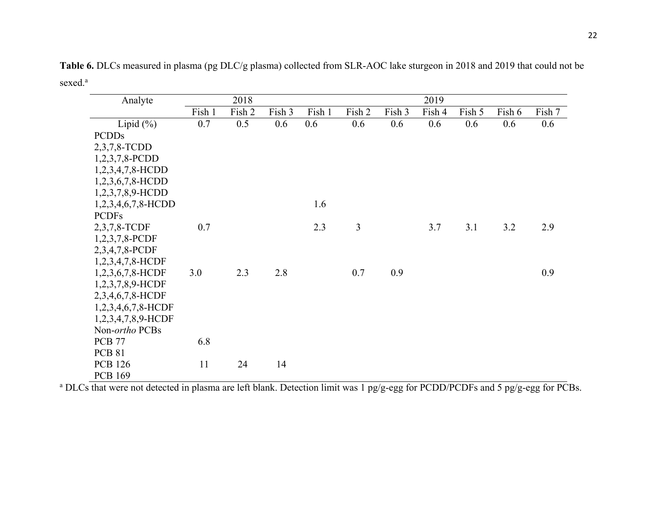**Table 6.** DLCs measured in plasma (pg DLC/g plasma) collected from SLR-AOC lake sturgeon in 2018 and 2019 that could not be sexed. a

| Analyte               |        | 2018   |        |        |        |        | 2019   |        |        |        |
|-----------------------|--------|--------|--------|--------|--------|--------|--------|--------|--------|--------|
|                       | Fish 1 | Fish 2 | Fish 3 | Fish 1 | Fish 2 | Fish 3 | Fish 4 | Fish 5 | Fish 6 | Fish 7 |
| Lipid $(\%)$          | 0.7    | 0.5    | 0.6    | 0.6    | 0.6    | 0.6    | 0.6    | 0.6    | 0.6    | 0.6    |
| <b>PCDDs</b>          |        |        |        |        |        |        |        |        |        |        |
| 2,3,7,8-TCDD          |        |        |        |        |        |        |        |        |        |        |
| $1,2,3,7,8$ -PCDD     |        |        |        |        |        |        |        |        |        |        |
| 1,2,3,4,7,8-HCDD      |        |        |        |        |        |        |        |        |        |        |
| 1,2,3,6,7,8-HCDD      |        |        |        |        |        |        |        |        |        |        |
| 1,2,3,7,8,9-HCDD      |        |        |        |        |        |        |        |        |        |        |
| 1,2,3,4,6,7,8-HCDD    |        |        |        | 1.6    |        |        |        |        |        |        |
| <b>PCDFs</b>          |        |        |        |        |        |        |        |        |        |        |
| 2,3,7,8-TCDF          | 0.7    |        |        | 2.3    | 3      |        | 3.7    | 3.1    | 3.2    | 2.9    |
| 1,2,3,7,8-PCDF        |        |        |        |        |        |        |        |        |        |        |
| 2,3,4,7,8-PCDF        |        |        |        |        |        |        |        |        |        |        |
| 1,2,3,4,7,8-HCDF      |        |        |        |        |        |        |        |        |        |        |
| 1,2,3,6,7,8-HCDF      | 3.0    | 2.3    | 2.8    |        | 0.7    | 0.9    |        |        |        | 0.9    |
| 1,2,3,7,8,9-HCDF      |        |        |        |        |        |        |        |        |        |        |
| 2,3,4,6,7,8-HCDF      |        |        |        |        |        |        |        |        |        |        |
| $1,2,3,4,6,7,8$ -HCDF |        |        |        |        |        |        |        |        |        |        |
| 1,2,3,4,7,8,9-HCDF    |        |        |        |        |        |        |        |        |        |        |
| Non-ortho PCBs        |        |        |        |        |        |        |        |        |        |        |
| <b>PCB 77</b>         | 6.8    |        |        |        |        |        |        |        |        |        |
| <b>PCB 81</b>         |        |        |        |        |        |        |        |        |        |        |
| <b>PCB 126</b>        | 11     | 24     | 14     |        |        |        |        |        |        |        |
| <b>PCB 169</b>        |        |        |        |        |        |        |        |        |        |        |

<sup>a</sup> DLCs that were not detected in plasma are left blank. Detection limit was 1 pg/g-egg for PCDD/PCDFs and 5 pg/g-egg for PCBs.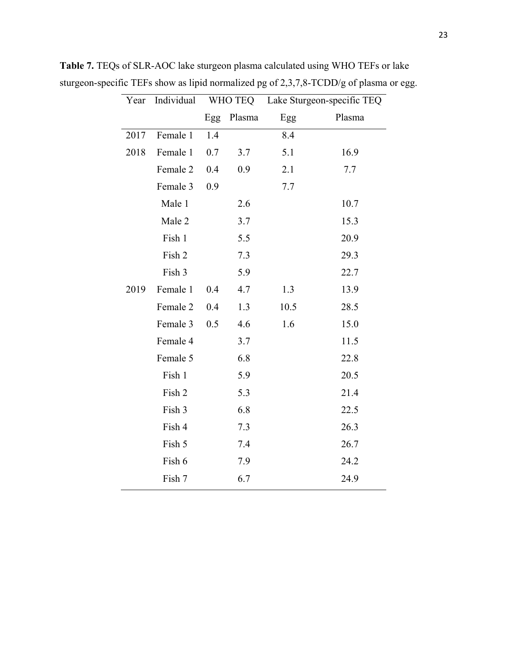| Year | Individual |     | WHO TEQ | Lake Sturgeon-specific TEQ |        |  |
|------|------------|-----|---------|----------------------------|--------|--|
|      |            | Egg | Plasma  | Egg                        | Plasma |  |
| 2017 | Female 1   | 1.4 |         | 8.4                        |        |  |
| 2018 | Female 1   | 0.7 | 3.7     | 5.1                        | 16.9   |  |
|      | Female 2   | 0.4 | 0.9     | 2.1                        | 7.7    |  |
|      | Female 3   | 0.9 |         | 7.7                        |        |  |
|      | Male 1     |     | 2.6     |                            | 10.7   |  |
|      | Male 2     |     | 3.7     |                            | 15.3   |  |
|      | Fish 1     |     | 5.5     |                            | 20.9   |  |
|      | Fish 2     |     | 7.3     |                            | 29.3   |  |
|      | Fish 3     |     | 5.9     |                            | 22.7   |  |
| 2019 | Female 1   | 0.4 | 4.7     | 1.3                        | 13.9   |  |
|      | Female 2   | 0.4 | 1.3     | 10.5                       | 28.5   |  |
|      | Female 3   | 0.5 | 4.6     | 1.6                        | 15.0   |  |
|      | Female 4   |     | 3.7     |                            | 11.5   |  |
|      | Female 5   |     | 6.8     |                            | 22.8   |  |
|      | Fish 1     |     | 5.9     |                            | 20.5   |  |
|      | Fish 2     |     | 5.3     |                            | 21.4   |  |
|      | Fish 3     |     | 6.8     |                            | 22.5   |  |
|      | Fish 4     |     | 7.3     |                            | 26.3   |  |
|      | Fish 5     |     | 7.4     |                            | 26.7   |  |
|      | Fish 6     |     | 7.9     |                            | 24.2   |  |
|      | Fish 7     |     | 6.7     |                            | 24.9   |  |

**Table 7.** TEQs of SLR-AOC lake sturgeon plasma calculated using WHO TEFs or lake sturgeon-specific TEFs show as lipid normalized pg of 2,3,7,8-TCDD/g of plasma or egg.